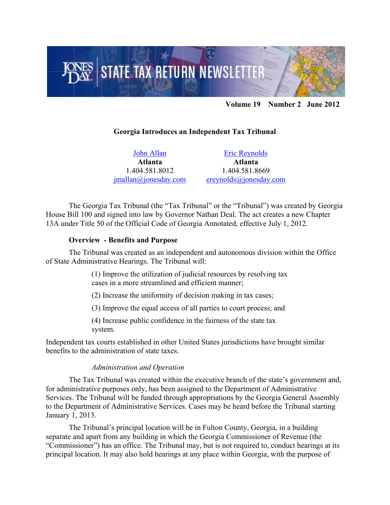

## **Volume 19 Number 2 June 2012**

### **Georgia Introduces an Independent Tax Tribunal**

[John Allan](http://www.jonesday.com/jmallan/) **Atlanta** 1.404.581.8012 [jmallan@jonesday.com](mailto:jmallan@jonesday.com)

[Eric Reynolds](http://www.jonesday.com/ereynolds/) **Atlanta** 1.404.581.8669 [ereynolds@jonesday.com](mailto:ereynolds@jonesday.com)

The Georgia Tax Tribunal (the "Tax Tribunal" or the "Tribunal") was created by Georgia House Bill 100 and signed into law by Governor Nathan Deal. The act creates a new Chapter 13A under Title 50 of the Official Code of Georgia Annotated, effective July 1, 2012.

#### **Overview - Benefits and Purpose**

The Tribunal was created as an independent and autonomous division within the Office of State Administrative Hearings. The Tribunal will:

> (1) Improve the utilization of judicial resources by resolving tax cases in a more streamlined and efficient manner;

(2) Increase the uniformity of decision making in tax cases;

(3) Improve the equal access of all parties to court process; and

(4) Increase public confidence in the fairness of the state tax system.

Independent tax courts established in other United States jurisdictions have brought similar benefits to the administration of state taxes.

#### *Administration and Operation*

The Tax Tribunal was created within the executive branch of the state's government and, for administrative purposes only, has been assigned to the Department of Administrative Services. The Tribunal will be funded through appropriations by the Georgia General Assembly to the Department of Administrative Services. Cases may be heard before the Tribunal starting January 1, 2013.

The Tribunal's principal location will be in Fulton County, Georgia, in a building separate and apart from any building in which the Georgia Commissioner of Revenue (the "Commissioner") has an office. The Tribunal may, but is not required to, conduct hearings at its principal location. It may also hold hearings at any place within Georgia, with the purpose of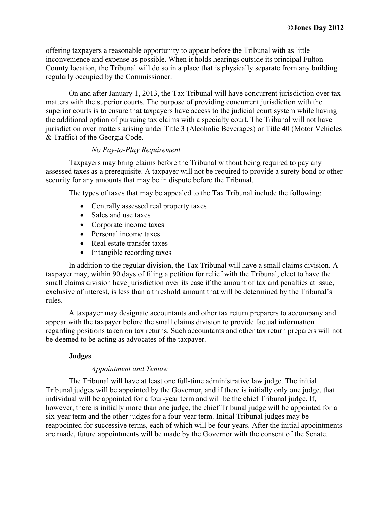offering taxpayers a reasonable opportunity to appear before the Tribunal with as little inconvenience and expense as possible. When it holds hearings outside its principal Fulton County location, the Tribunal will do so in a place that is physically separate from any building regularly occupied by the Commissioner.

On and after January 1, 2013, the Tax Tribunal will have concurrent jurisdiction over tax matters with the superior courts. The purpose of providing concurrent jurisdiction with the superior courts is to ensure that taxpayers have access to the judicial court system while having the additional option of pursuing tax claims with a specialty court. The Tribunal will not have jurisdiction over matters arising under Title 3 (Alcoholic Beverages) or Title 40 (Motor Vehicles & Traffic) of the Georgia Code.

# *No Pay-to-Play Requirement*

Taxpayers may bring claims before the Tribunal without being required to pay any assessed taxes as a prerequisite. A taxpayer will not be required to provide a surety bond or other security for any amounts that may be in dispute before the Tribunal.

The types of taxes that may be appealed to the Tax Tribunal include the following:

- Centrally assessed real property taxes
- Sales and use taxes
- Corporate income taxes
- Personal income taxes
- Real estate transfer taxes
- Intangible recording taxes

In addition to the regular division, the Tax Tribunal will have a small claims division. A taxpayer may, within 90 days of filing a petition for relief with the Tribunal, elect to have the small claims division have jurisdiction over its case if the amount of tax and penalties at issue, exclusive of interest, is less than a threshold amount that will be determined by the Tribunal's rules.

A taxpayer may designate accountants and other tax return preparers to accompany and appear with the taxpayer before the small claims division to provide factual information regarding positions taken on tax returns. Such accountants and other tax return preparers will not be deemed to be acting as advocates of the taxpayer.

# **Judges**

# *Appointment and Tenure*

The Tribunal will have at least one full-time administrative law judge. The initial Tribunal judges will be appointed by the Governor, and if there is initially only one judge, that individual will be appointed for a four-year term and will be the chief Tribunal judge. If, however, there is initially more than one judge, the chief Tribunal judge will be appointed for a six-year term and the other judges for a four-year term. Initial Tribunal judges may be reappointed for successive terms, each of which will be four years. After the initial appointments are made, future appointments will be made by the Governor with the consent of the Senate.